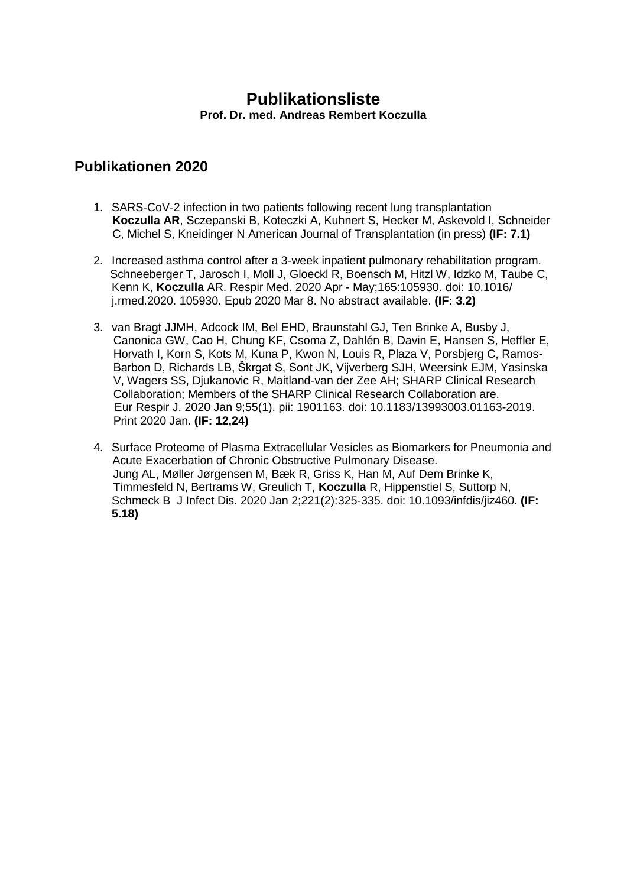#### **Publikationsliste Prof. Dr. med. Andreas Rembert Koczulla**

- 1. SARS-CoV-2 infection in two patients following recent lung transplantation **Koczulla AR**, Sczepanski B, Koteczki A, Kuhnert S, Hecker M, Askevold I, Schneider C, Michel S, Kneidinger N American Journal of Transplantation (in press) **(IF: 7.1)**
- 2. [Increased asthma control after a 3-week inpatient pulmonary rehabilitation program.](https://www.ncbi.nlm.nih.gov/pubmed/32174451) Schneeberger T, Jarosch I, Moll J, Gloeckl R, Boensch M, Hitzl W, Idzko M, Taube C, Kenn K, **Koczulla** AR. Respir Med. 2020 Apr - May;165:105930. doi: 10.1016/ j.rmed.2020. 105930. Epub 2020 Mar 8. No abstract available. **(IF: 3.2)**
- 3. van Bragt JJMH, Adcock IM, Bel EHD, Braunstahl GJ, Ten Brinke A, Busby J, Canonica GW, Cao H, Chung KF, Csoma Z, Dahlén B, Davin E, Hansen S, Heffler E, Horvath I, Korn S, Kots M, Kuna P, Kwon N, Louis R, Plaza V, Porsbjerg C, Ramos- Barbon D, Richards LB, Škrgat S, Sont JK, Vijverberg SJH, Weersink EJM, Yasinska V, Wagers SS, Djukanovic R, Maitland-van der Zee AH; SHARP Clinical Research Collaboration; Members of the SHARP Clinical Research Collaboration are. Eur Respir J. 2020 Jan 9;55(1). pii: 1901163. doi: 10.1183/13993003.01163-2019. Print 2020 Jan. **(IF: 12,24)**
- 4. [Surface Proteome of Plasma Extracellular Vesicles as Biomarkers for Pneumonia and](https://www.ncbi.nlm.nih.gov/pubmed/31617573)  [Acute Exacerbation of Chronic Obstructive Pulmonary Disease.](https://www.ncbi.nlm.nih.gov/pubmed/31617573) Jung AL, Møller Jørgensen M, Bæk R, Griss K, Han M, Auf Dem Brinke K, Timmesfeld N, Bertrams W, Greulich T, **Koczulla** R, Hippenstiel S, Suttorp N, Schmeck B J Infect Dis. 2020 Jan 2;221(2):325-335. doi: 10.1093/infdis/jiz460. **(IF: 5.18)**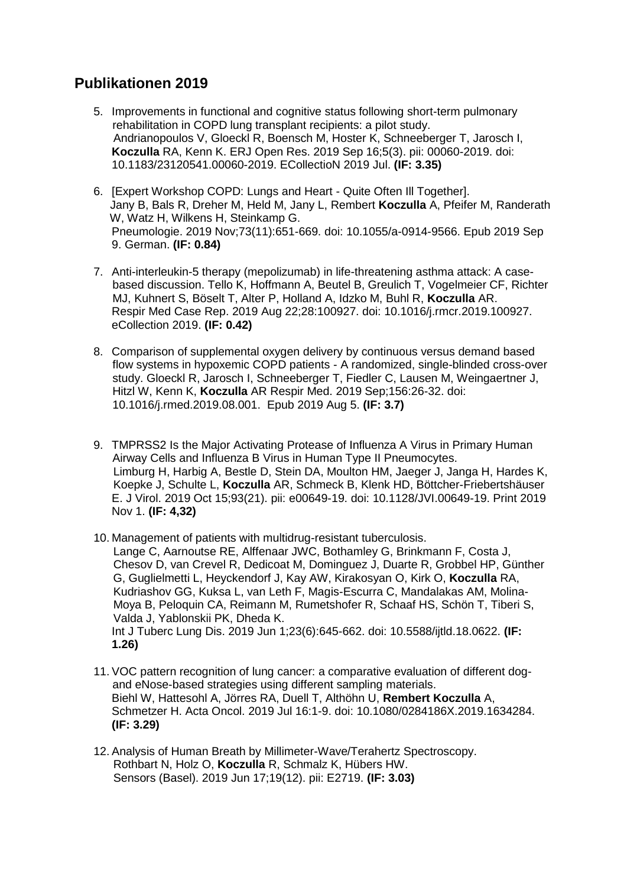- 5. [Improvements in functional and cognitive status following short-term pulmonary](https://www.ncbi.nlm.nih.gov/pubmed/31544112)  [rehabilitation in COPD lung transplant recipients: a pilot study.](https://www.ncbi.nlm.nih.gov/pubmed/31544112) Andrianopoulos V, Gloeckl R, Boensch M, Hoster K, Schneeberger T, Jarosch I, **Koczulla** RA, Kenn K. ERJ Open Res. 2019 Sep 16;5(3). pii: 00060-2019. doi: 10.1183/23120541.00060-2019. ECollectioN 2019 Jul. **(IF: 3.35)**
- 6. [\[Expert Workshop COPD: Lungs and Heart -](https://www.ncbi.nlm.nih.gov/pubmed/31499562) Quite Often Ill Together]. Jany B, Bals R, Dreher M, Held M, Jany L, Rembert **Koczulla** A, Pfeifer M, Randerath W, Watz H, Wilkens H, Steinkamp G. Pneumologie. 2019 Nov;73(11):651-669. doi: 10.1055/a-0914-9566. Epub 2019 Sep 9. German. **(IF: 0.84)**
- 7. [Anti-interleukin-5 therapy \(mepolizumab\) in life-threatening asthma attack: A case](https://www.ncbi.nlm.nih.gov/pubmed/31485410)[based discussion.](https://www.ncbi.nlm.nih.gov/pubmed/31485410) Tello K, Hoffmann A, Beutel B, Greulich T, Vogelmeier CF, Richter MJ, Kuhnert S, Böselt T, Alter P, Holland A, Idzko M, Buhl R, **Koczulla** AR. Respir Med Case Rep. 2019 Aug 22;28:100927. doi: 10.1016/j.rmcr.2019.100927. eCollection 2019. **(IF: 0.42)**
- 8. [Comparison of supplemental oxygen delivery by continuous versus demand based](https://www.ncbi.nlm.nih.gov/pubmed/31404750)  [flow systems in hypoxemic COPD patients -](https://www.ncbi.nlm.nih.gov/pubmed/31404750) A randomized, single-blinded cross-over [study.](https://www.ncbi.nlm.nih.gov/pubmed/31404750) Gloeckl R, Jarosch I, Schneeberger T, Fiedler C, Lausen M, Weingaertner J, Hitzl W, Kenn K, **Koczulla** AR Respir Med. 2019 Sep;156:26-32. doi: 10.1016/j.rmed.2019.08.001. Epub 2019 Aug 5. **(IF: 3.7)**
- 9. [TMPRSS2 Is the Major Activating Protease of Influenza A Virus in Primary Human](https://www.ncbi.nlm.nih.gov/pubmed/31391268)  [Airway Cells and Influenza B Virus in Human Type II Pneumocytes.](https://www.ncbi.nlm.nih.gov/pubmed/31391268) Limburg H, Harbig A, Bestle D, Stein DA, Moulton HM, Jaeger J, Janga H, Hardes K, Koepke J, Schulte L, **Koczulla** AR, Schmeck B, Klenk HD, Böttcher-Friebertshäuser E. J Virol. 2019 Oct 15;93(21). pii: e00649-19. doi: 10.1128/JVI.00649-19. Print 2019 Nov 1. **(IF: 4,32)**
- 10. [Management of patients with multidrug-resistant tuberculosis.](https://www.ncbi.nlm.nih.gov/pubmed/31315696) Lange C, Aarnoutse RE, Alffenaar JWC, Bothamley G, Brinkmann F, Costa J, Chesov D, van Crevel R, Dedicoat M, Dominguez J, Duarte R, Grobbel HP, Günther G, Guglielmetti L, Heyckendorf J, Kay AW, Kirakosyan O, Kirk O, **Koczulla** RA, Kudriashov GG, Kuksa L, van Leth F, Magis-Escurra C, Mandalakas AM, Molina- Moya B, Peloquin CA, Reimann M, Rumetshofer R, Schaaf HS, Schön T, Tiberi S, Valda J, Yablonskii PK, Dheda K. Int J Tuberc Lung Dis. 2019 Jun 1;23(6):645-662. doi: 10.5588/ijtld.18.0622. **(IF: 1.26)**
- 11. [VOC pattern recognition of lung cancer: a comparative evaluation of different dog](https://www.ncbi.nlm.nih.gov/pubmed/31311375)[and eNose-based strategies using](https://www.ncbi.nlm.nih.gov/pubmed/31311375) different sampling materials. Biehl W, Hattesohl A, Jörres RA, Duell T, Althöhn U, **Rembert Koczulla** A, Schmetzer H. Acta Oncol. 2019 Jul 16:1-9. doi: 10.1080/0284186X.2019.1634284. **(IF: 3.29)**
- 12. [Analysis of Human Breath by Millimeter-Wave/Terahertz Spectroscopy.](https://www.ncbi.nlm.nih.gov/pubmed/31212999) Rothbart N, Holz O, **Koczulla** R, Schmalz K, Hübers HW. Sensors (Basel). 2019 Jun 17;19(12). pii: E2719. **(IF: 3.03)**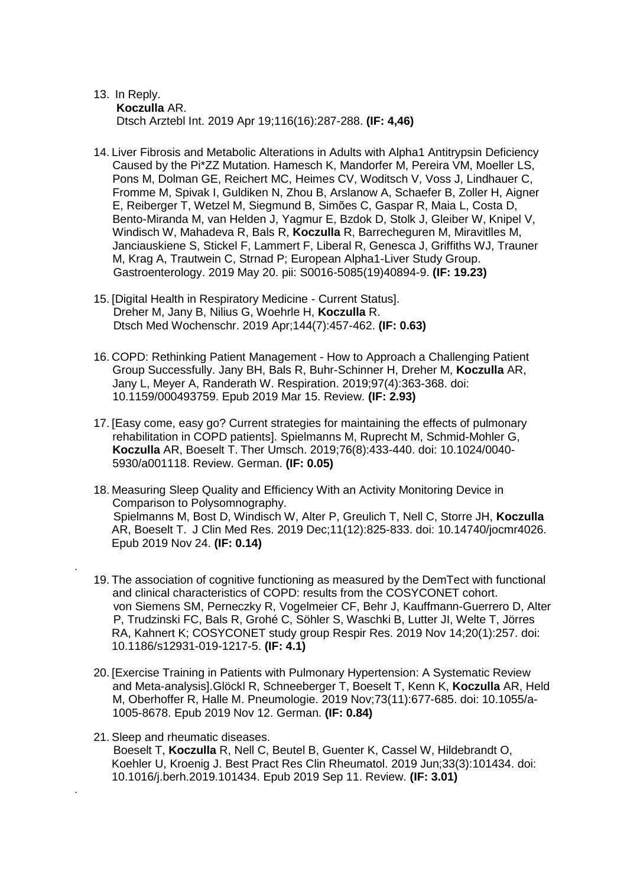#### 13. [In Reply.](https://www.ncbi.nlm.nih.gov/pubmed/31159919)  **Koczulla** AR. Dtsch Arztebl Int. 2019 Apr 19;116(16):287-288. **(IF: 4,46)**

- 14. [Liver Fibrosis and Metabolic Alterations in Adults with Alpha1 Antitrypsin](https://www.ncbi.nlm.nih.gov/pubmed/31121167) Deficiency [Caused by the Pi\\*ZZ Mutation.](https://www.ncbi.nlm.nih.gov/pubmed/31121167) Hamesch K, Mandorfer M, Pereira VM, Moeller LS, Pons M, Dolman GE, Reichert MC, Heimes CV, Woditsch V, Voss J, Lindhauer C, Fromme M, Spivak I, Guldiken N, Zhou B, Arslanow A, Schaefer B, Zoller H, Aigner E, Reiberger T, Wetzel M, Siegmund B, Simões C, Gaspar R, Maia L, Costa D, Bento-Miranda M, van Helden J, Yagmur E, Bzdok D, Stolk J, Gleiber W, Knipel V, Windisch W, Mahadeva R, Bals R, **Koczulla** R, Barrecheguren M, Miravitlles M, Janciauskiene S, Stickel F, Lammert F, Liberal R, Genesca J, Griffiths WJ, Trauner M, Krag A, Trautwein C, Strnad P; European Alpha1-Liver Study Group. Gastroenterology. 2019 May 20. pii: S0016-5085(19)40894-9. **(IF: 19.23)**
- 15. [\[Digital Health in Respiratory Medicine -](https://www.ncbi.nlm.nih.gov/pubmed/30925600) Current Status]. Dreher M, Jany B, Nilius G, Woehrle H, **Koczulla** R. Dtsch Med Wochenschr. 2019 Apr;144(7):457-462. **(IF: 0.63)**

.

.

- 16. [COPD: Rethinking Patient Management -](https://www.ncbi.nlm.nih.gov/pubmed/30879009) How to Approach a Challenging Patient [Group Successfully.](https://www.ncbi.nlm.nih.gov/pubmed/30879009) Jany BH, Bals R, Buhr-Schinner H, Dreher M, **Koczulla** AR, Jany L, Meyer A, Randerath W. Respiration. 2019;97(4):363-368. doi: 10.1159/000493759. Epub 2019 Mar 15. Review. **(IF: 2.93)**
- 17. [\[Easy come, easy go? Current strategies for maintaining the effects of pulmonary](https://www.ncbi.nlm.nih.gov/pubmed/32096716)  [rehabilitation in COPD patients\].](https://www.ncbi.nlm.nih.gov/pubmed/32096716) Spielmanns M, Ruprecht M, Schmid-Mohler G, **Koczulla** AR, Boeselt T. Ther Umsch. 2019;76(8):433-440. doi: 10.1024/0040- 5930/a001118. Review. German. **(IF: 0.05)**
- 18. [Measuring Sleep Quality and Efficiency With an Activity Monitoring Device in](https://www.ncbi.nlm.nih.gov/pubmed/31803327)  [Comparison to Polysomnography.](https://www.ncbi.nlm.nih.gov/pubmed/31803327) Spielmanns M, Bost D, Windisch W, Alter P, Greulich T, Nell C, Storre JH, **Koczulla** AR, Boeselt T. J Clin Med Res. 2019 Dec;11(12):825-833. doi: 10.14740/jocmr4026. Epub 2019 Nov 24. **(IF: 0.14)**
- 19. [The association of cognitive functioning as measured by the DemTect with functional](https://www.ncbi.nlm.nih.gov/pubmed/31727165)  [and clinical characteristics of COPD: results from the COSYCONET cohort.](https://www.ncbi.nlm.nih.gov/pubmed/31727165) von Siemens SM, Perneczky R, Vogelmeier CF, Behr J, Kauffmann-Guerrero D, Alter P, Trudzinski FC, Bals R, Grohé C, Söhler S, Waschki B, Lutter JI, Welte T, Jörres RA, Kahnert K; COSYCONET study group Respir Res. 2019 Nov 14;20(1):257. doi: 10.1186/s12931-019-1217-5. **(IF: 4.1)**
- 20. [\[Exercise Training in Patients with Pulmonary Hypertension: A Systematic Review](https://www.ncbi.nlm.nih.gov/pubmed/31715636)  [and Meta-analysis\].G](https://www.ncbi.nlm.nih.gov/pubmed/31715636)löckl R, Schneeberger T, Boeselt T, Kenn K, **Koczulla** AR, Held M, Oberhoffer R, Halle M. Pneumologie. 2019 Nov;73(11):677-685. doi: 10.1055/a-1005-8678. Epub 2019 Nov 12. German. **(IF: 0.84)**
- 21. [Sleep and rheumatic diseases.](https://www.ncbi.nlm.nih.gov/pubmed/31703798) Boeselt T, **Koczulla** R, Nell C, Beutel B, Guenter K, Cassel W, Hildebrandt O, Koehler U, Kroenig J. Best Pract Res Clin Rheumatol. 2019 Jun;33(3):101434. doi: 10.1016/j.berh.2019.101434. Epub 2019 Sep 11. Review. **(IF: 3.01)**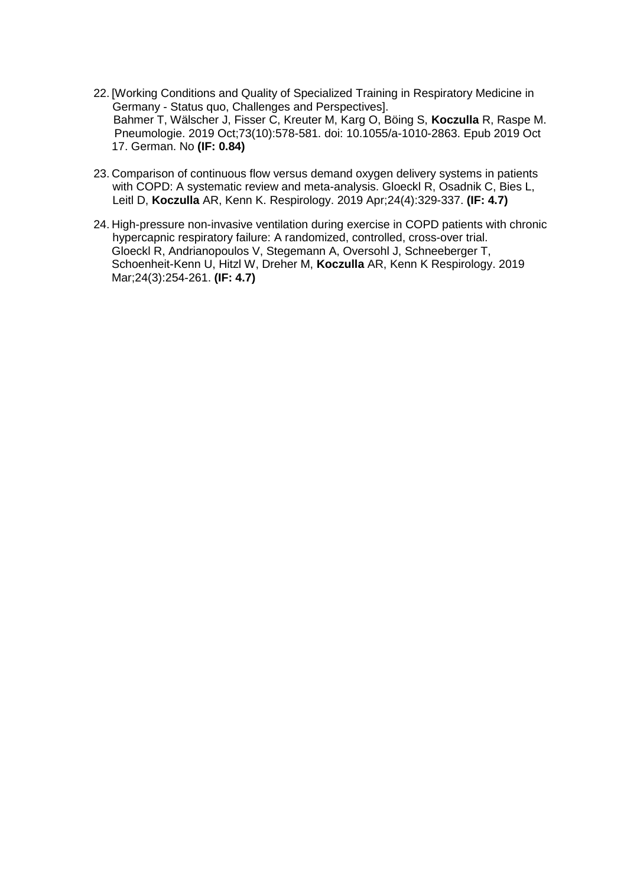- 22. [\[Working Conditions and Quality of Specialized Training in Respiratory Medicine in](https://www.ncbi.nlm.nih.gov/pubmed/31622996)  Germany - [Status quo, Challenges and Perspectives\].](https://www.ncbi.nlm.nih.gov/pubmed/31622996) Bahmer T, Wälscher J, Fisser C, Kreuter M, Karg O, Böing S, **Koczulla** R, Raspe M. Pneumologie. 2019 Oct;73(10):578-581. doi: 10.1055/a-1010-2863. Epub 2019 Oct 17. German. No **(IF: 0.84)**
- 23. [Comparison of continuous flow versus demand oxygen delivery systems in patients](https://www.ncbi.nlm.nih.gov/pubmed/30556614)  [with COPD: A systematic review and meta-analysis.](https://www.ncbi.nlm.nih.gov/pubmed/30556614) Gloeckl R, Osadnik C, Bies L, Leitl D, **Koczulla** AR, Kenn K. Respirology. 2019 Apr;24(4):329-337. **(IF: 4.7)**
- 24. [High-pressure non-invasive ventilation during exercise in COPD patients with chronic](https://www.ncbi.nlm.nih.gov/pubmed/30242790)  [hypercapnic respiratory failure: A randomized, controlled, cross-over trial.](https://www.ncbi.nlm.nih.gov/pubmed/30242790) Gloeckl R, Andrianopoulos V, Stegemann A, Oversohl J, Schneeberger T, Schoenheit-Kenn U, Hitzl W, Dreher M, **Koczulla** AR, Kenn K Respirology. 2019 Mar;24(3):254-261. **(IF: 4.7)**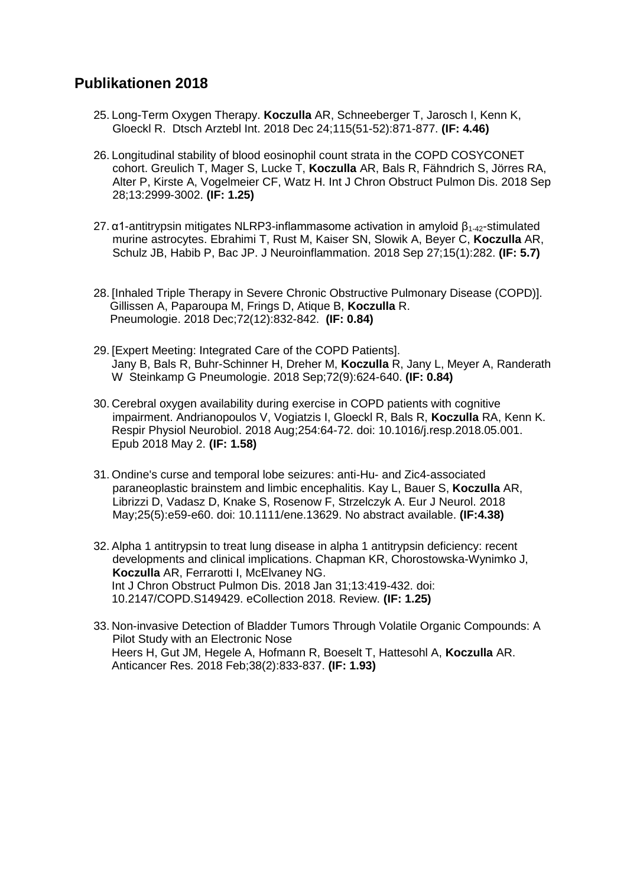- 25. [Long-Term Oxygen Therapy.](https://www.ncbi.nlm.nih.gov/pubmed/30765024) **Koczulla** AR, Schneeberger T, Jarosch I, Kenn K, Gloeckl R. Dtsch Arztebl Int. 2018 Dec 24;115(51-52):871-877. **(IF: 4.46)**
- 26. [Longitudinal stability of blood eosinophil count strata in the COPD COSYCONET](https://www.ncbi.nlm.nih.gov/pubmed/30319247)  [cohort.](https://www.ncbi.nlm.nih.gov/pubmed/30319247) Greulich T, Mager S, Lucke T, **Koczulla** AR, Bals R, Fähndrich S, Jörres RA, Alter P, Kirste A, Vogelmeier CF, Watz H. Int J Chron Obstruct Pulmon Dis. 2018 Sep 28;13:2999-3002. **(IF: 1.25)**
- 27. [α1-antitrypsin mitigates NLRP3-inflammasome activation in amyloid β](https://www.ncbi.nlm.nih.gov/pubmed/30261895)1-42-stimulated [murine astrocytes.](https://www.ncbi.nlm.nih.gov/pubmed/30261895) Ebrahimi T, Rust M, Kaiser SN, Slowik A, Beyer C, **Koczulla** AR, Schulz JB, Habib P, Bac JP. J Neuroinflammation. 2018 Sep 27;15(1):282. **(IF: 5.7)**
- 28. [\[Inhaled Triple Therapy in Severe Chronic Obstructive Pulmonary Disease \(COPD\)\].](https://www.ncbi.nlm.nih.gov/pubmed/30153695) Gillissen A, Paparoupa M, Frings D, Atique B, **Koczulla** R. Pneumologie. 2018 Dec;72(12):832-842. **(IF: 0.84)**
- 29. [\[Expert Meeting: Integrated Care of the COPD Patients\].](https://www.ncbi.nlm.nih.gov/pubmed/29954020) Jany B, Bals R, Buhr-Schinner H, Dreher M, **Koczulla** R, Jany L, Meyer A, Randerath W Steinkamp G Pneumologie. 2018 Sep;72(9):624-640. **(IF: 0.84)**
- 30. [Cerebral oxygen availability during exercise in COPD patients with cognitive](https://www.ncbi.nlm.nih.gov/pubmed/29729396)  [impairment.](https://www.ncbi.nlm.nih.gov/pubmed/29729396) Andrianopoulos V, Vogiatzis I, Gloeckl R, Bals R, **Koczulla** RA, Kenn K. Respir Physiol Neurobiol. 2018 Aug;254:64-72. doi: 10.1016/j.resp.2018.05.001. Epub 2018 May 2. **(IF: 1.58)**
- 31. [Ondine's curse and temporal lobe seizures: anti-Hu-](https://www.ncbi.nlm.nih.gov/pubmed/29667352) and Zic4-associated [paraneoplastic brainstem and limbic encephalitis.](https://www.ncbi.nlm.nih.gov/pubmed/29667352) Kay L, Bauer S, **Koczulla** AR, Librizzi D, Vadasz D, Knake S, Rosenow F, Strzelczyk A. Eur J Neurol. 2018 May;25(5):e59-e60. doi: 10.1111/ene.13629. No abstract available. **(IF:4.38)**
- 32. [Alpha 1 antitrypsin to treat lung disease in alpha 1 antitrypsin deficiency: recent](https://www.ncbi.nlm.nih.gov/pubmed/29430176)  [developments and clinical implications.](https://www.ncbi.nlm.nih.gov/pubmed/29430176) Chapman KR, Chorostowska-Wynimko J, **Koczulla** AR, Ferrarotti I, McElvaney NG. Int J Chron Obstruct Pulmon Dis. 2018 Jan 31;13:419-432. doi: 10.2147/COPD.S149429. eCollection 2018. Review. **(IF: 1.25)**
- 33. Non-invasive Detection of Bladder Tumors Through Volatile Organic Compounds: A Pilot Study with an Electronic Nose Heers H, Gut JM, Hegele A, Hofmann R, Boeselt T, Hattesohl A, **Koczulla** AR. Anticancer Res. 2018 Feb;38(2):833-837. **(IF: 1.93)**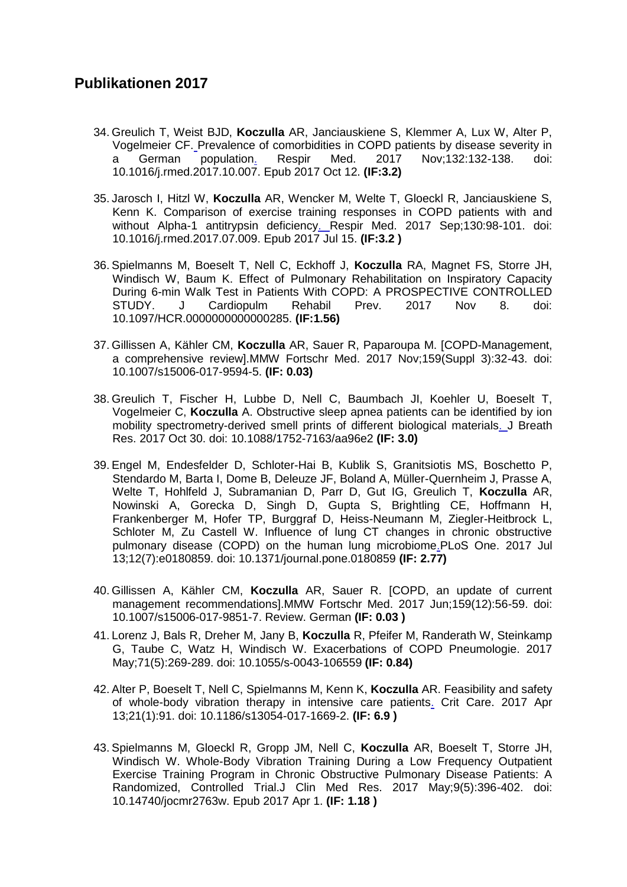- 34. Greulich T, Weist BJD, **Koczulla** AR, Janciauskiene S, Klemmer A, Lux W, Alter P, Vogelmeier CF. Prevalence of comorbidities in COPD patients by disease severity in<br>a German population. Respir Med. 2017 Nov:132:132-138. doi: a German population. Respir Med. 2017 Nov;132:132-138. doi: 10.1016/j.rmed.2017.10.007. Epub 2017 Oct 12. **(IF:3.2)**
- 35. Jarosch I, Hitzl W, **Koczulla** AR, Wencker M, Welte T, Gloeckl R, Janciauskiene S, Kenn K. Comparison of exercise training responses in COPD patients with and without Alpha-1 antitrypsin deficiency. Respir Med. 2017 Sep;130:98-101. doi: 10.1016/j.rmed.2017.07.009. Epub 2017 Jul 15. **(IF:3.2 )**
- 36. Spielmanns M, Boeselt T, Nell C, Eckhoff J, **Koczulla** RA, Magnet FS, Storre JH, Windisch W, Baum K. Effect of Pulmonary Rehabilitation on Inspiratory Capacity During 6-min Walk Test in Patients With COPD: A PROSPECTIVE CONTROLLED STUDY. J Cardiopulm Rehabil Prev. 2017 Nov 8. doi: 10.1097/HCR.0000000000000285. **(IF:1.56)**
- 37. Gillissen A, Kähler CM, **Koczulla** AR, Sauer R, Paparoupa M. [COPD-Management, a comprehensive review].MMW Fortschr Med. 2017 Nov;159(Suppl 3):32-43. doi: 10.1007/s15006-017-9594-5. **(IF: 0.03)**
- 38. Greulich T, Fischer H, Lubbe D, Nell C, Baumbach JI, Koehler U, Boeselt T, Vogelmeier C, **Koczulla** A. Obstructive sleep apnea patients can be identified by ion mobility spectrometry-derived smell prints of different biological materials. J Breath Res. 2017 Oct 30. doi: 10.1088/1752-7163/aa96e2 **(IF: 3.0)**
- 39. Engel M, Endesfelder D, Schloter-Hai B, Kublik S, Granitsiotis MS, Boschetto P, Stendardo M, Barta I, Dome B, Deleuze JF, Boland A, Müller-Quernheim J, Prasse A, Welte T, Hohlfeld J, Subramanian D, Parr D, Gut IG, Greulich T, **Koczulla** AR, Nowinski A, Gorecka D, Singh D, Gupta S, Brightling CE, Hoffmann H, Frankenberger M, Hofer TP, Burggraf D, Heiss-Neumann M, Ziegler-Heitbrock L, Schloter M, Zu Castell W. Influence of lung CT changes in chronic obstructive pulmonary disease (COPD) on the human lung microbiome.PLoS One. 2017 Jul 13;12(7):e0180859. doi: 10.1371/journal.pone.0180859 **(IF: 2.77)**
- 40. Gillissen A, Kähler CM, **Koczulla** AR, Sauer R. [COPD, an update of current management recommendations].MMW Fortschr Med. 2017 Jun;159(12):56-59. doi: 10.1007/s15006-017-9851-7. Review. German **(IF: 0.03 )**
- 41. Lorenz J, Bals R, Dreher M, Jany B, **Koczulla** R, Pfeifer M, Randerath W, Steinkamp G, Taube C, Watz H, Windisch W. Exacerbations of COPD Pneumologie. 2017 May;71(5):269-289. doi: 10.1055/s-0043-106559 **(IF: 0.84)**
- 42. Alter P, Boeselt T, Nell C, Spielmanns M, Kenn K, **Koczulla** AR. Feasibility and safety of whole-body vibration therapy in intensive care patients. Crit Care. 2017 Apr 13;21(1):91. doi: 10.1186/s13054-017-1669-2. **(IF: 6.9 )**
- 43. Spielmanns M, Gloeckl R, Gropp JM, Nell C, **Koczulla** AR, Boeselt T, Storre JH, Windisch W. Whole-Body Vibration Training During a Low Frequency Outpatient Exercise Training Program in Chronic Obstructive Pulmonary Disease Patients: A Randomized, Controlled Trial.J Clin Med Res. 2017 May;9(5):396-402. doi: 10.14740/jocmr2763w. Epub 2017 Apr 1. **(IF: 1.18 )**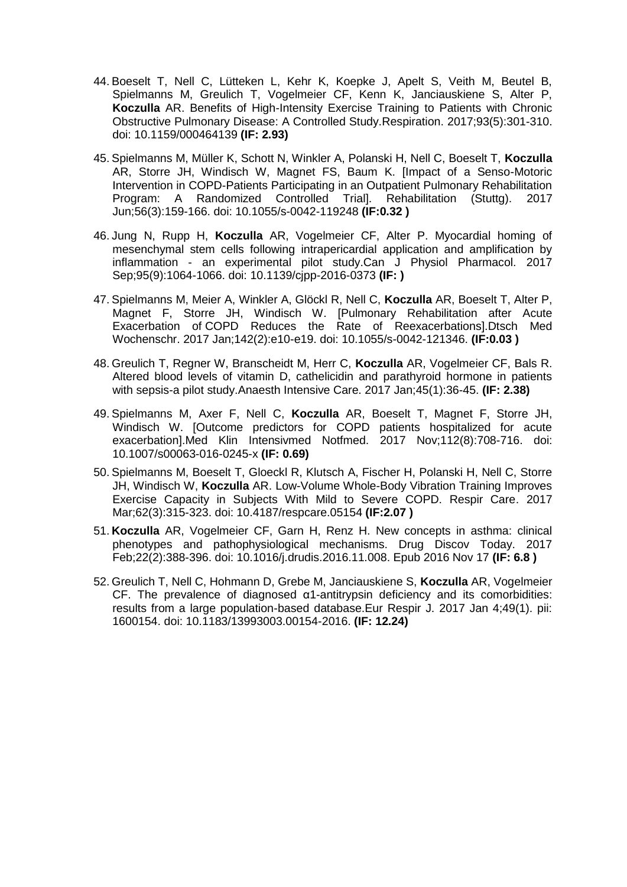- 44. Boeselt T, Nell C, Lütteken L, Kehr K, Koepke J, Apelt S, Veith M, Beutel B, Spielmanns M, Greulich T, Vogelmeier CF, Kenn K, Janciauskiene S, Alter P, **Koczulla** AR. Benefits of High-Intensity Exercise Training to Patients with Chronic Obstructive Pulmonary Disease: A Controlled Study.Respiration. 2017;93(5):301-310. doi: 10.1159/000464139 **(IF: 2.93)**
- 45. Spielmanns M, Müller K, Schott N, Winkler A, Polanski H, Nell C, Boeselt T, **Koczulla** AR, Storre JH, Windisch W, Magnet FS, Baum K. [Impact of a Senso-Motoric Intervention in COPD-Patients Participating in an Outpatient Pulmonary Rehabilitation Program: A Randomized Controlled Trial]. Rehabilitation (Stuttg). 2017 Jun;56(3):159-166. doi: 10.1055/s-0042-119248 **(IF:0.32 )**
- 46. Jung N, Rupp H, **Koczulla** AR, Vogelmeier CF, Alter P. Myocardial homing of mesenchymal stem cells following intrapericardial application and amplification by inflammation - an experimental pilot study.Can J Physiol Pharmacol. 2017 Sep;95(9):1064-1066. doi: 10.1139/cjpp-2016-0373 **(IF: )**
- 47. Spielmanns M, Meier A, Winkler A, Glöckl R, Nell C, **Koczulla** AR, Boeselt T, Alter P, Magnet F, Storre JH, Windisch W. [Pulmonary Rehabilitation after Acute Exacerbation of COPD Reduces the Rate of Reexacerbations].Dtsch Med Wochenschr. 2017 Jan;142(2):e10-e19. doi: 10.1055/s-0042-121346. **(IF:0.03 )**
- 48. Greulich T, Regner W, Branscheidt M, Herr C, **Koczulla** AR, Vogelmeier CF, Bals R. Altered blood levels of vitamin D, cathelicidin and parathyroid hormone in patients with sepsis-a pilot study.Anaesth Intensive Care. 2017 Jan;45(1):36-45. **(IF: 2.38)**
- 49. Spielmanns M, Axer F, Nell C, **Koczulla** AR, Boeselt T, Magnet F, Storre JH, Windisch W. [Outcome predictors for COPD patients hospitalized for acute exacerbation].Med Klin Intensivmed Notfmed. 2017 Nov;112(8):708-716. doi: 10.1007/s00063-016-0245-x **(IF: 0.69)**
- 50. Spielmanns M, Boeselt T, Gloeckl R, Klutsch A, Fischer H, Polanski H, Nell C, Storre JH, Windisch W, **Koczulla** AR. Low-Volume Whole-Body Vibration Training Improves Exercise Capacity in Subjects With Mild to Severe COPD. Respir Care. 2017 Mar;62(3):315-323. doi: 10.4187/respcare.05154 **(IF:2.07 )**
- 51. **Koczulla** AR, Vogelmeier CF, Garn H, Renz H. New concepts in asthma: clinical phenotypes and pathophysiological mechanisms. Drug Discov Today. 2017 Feb;22(2):388-396. doi: 10.1016/j.drudis.2016.11.008. Epub 2016 Nov 17 **(IF: 6.8 )**
- 52. Greulich T, Nell C, Hohmann D, Grebe M, Janciauskiene S, **Koczulla** AR, Vogelmeier CF. The prevalence of diagnosed α1-antitrypsin deficiency and its comorbidities: results from a large population-based database.Eur Respir J. 2017 Jan 4;49(1). pii: 1600154. doi: 10.1183/13993003.00154-2016. **(IF: 12.24)**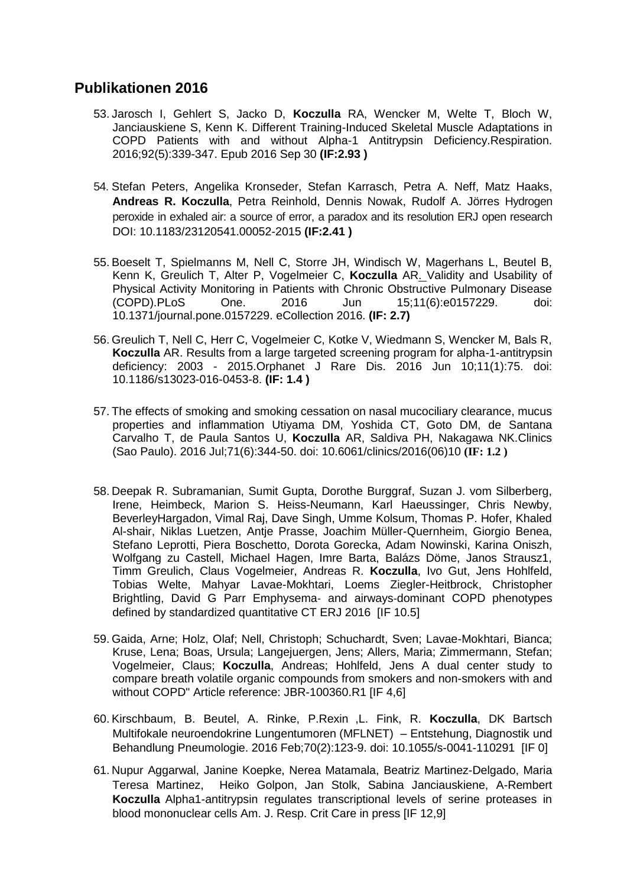- 53. Jarosch I, Gehlert S, Jacko D, **Koczulla** RA, Wencker M, Welte T, Bloch W, Janciauskiene S, Kenn K. Different Training-Induced Skeletal Muscle Adaptations in COPD Patients with and without Alpha-1 Antitrypsin Deficiency.Respiration. 2016;92(5):339-347. Epub 2016 Sep 30 **(IF:2.93 )**
- 54. Stefan Peters, Angelika Kronseder, Stefan Karrasch, Petra A. Neff, Matz Haaks, **Andreas R. Koczulla**, Petra Reinhold, Dennis Nowak, Rudolf A. Jörres Hydrogen peroxide in exhaled air: a source of error, a paradox and its resolution ERJ open research DOI: 10.1183/23120541.00052-2015 **(IF:2.41 )**
- 55. Boeselt T, Spielmanns M, Nell C, Storre JH, Windisch W, Magerhans L, Beutel B, Kenn K, Greulich T, Alter P, Vogelmeier C, **Koczulla** AR. [Validity and Usability of](http://www.ncbi.nlm.nih.gov/pubmed/27305105)  [Physical Activity Monitoring in Patients with Chronic Obstructive Pulmonary Disease](http://www.ncbi.nlm.nih.gov/pubmed/27305105)  [\(COPD\).P](http://www.ncbi.nlm.nih.gov/pubmed/27305105)LoS One. 2016 Jun 15;11(6):e0157229. doi: 10.1371/journal.pone.0157229. eCollection 2016. **(IF: 2.7)**
- 56. Greulich T, Nell C, Herr C, Vogelmeier C, Kotke V, Wiedmann S, Wencker M, Bals R, **Koczulla** AR. Results from a large targeted screening program for alpha-1-antitrypsin deficiency: 2003 - 2015.Orphanet J Rare Dis. 2016 Jun 10;11(1):75. doi: 10.1186/s13023-016-0453-8. **(IF: 1.4 )**
- 57. The effects of smoking and smoking cessation on nasal mucociliary clearance, mucus properties and inflammation Utiyama DM, Yoshida CT, Goto DM, de Santana Carvalho T, de Paula Santos U, **Koczulla** AR, Saldiva PH, Nakagawa NK.Clinics (Sao Paulo). 2016 Jul;71(6):344-50. doi: 10.6061/clinics/2016(06)10 **(IF: 1.2 )**
- 58. Deepak R. Subramanian, Sumit Gupta, Dorothe Burggraf, Suzan J. vom Silberberg, Irene, Heimbeck, Marion S. Heiss-Neumann, Karl Haeussinger, Chris Newby, BeverleyHargadon, Vimal Raj, Dave Singh, Umme Kolsum, Thomas P. Hofer, Khaled Al-shair, Niklas Luetzen, Antje Prasse, Joachim Müller-Quernheim, Giorgio Benea, Stefano Leprotti, Piera Boschetto, Dorota Gorecka, Adam Nowinski, Karina Oniszh, Wolfgang zu Castell, Michael Hagen, Imre Barta, Balázs Döme, Janos Strausz1, Timm Greulich, Claus Vogelmeier, Andreas R. **Koczulla**, Ivo Gut, Jens Hohlfeld, Tobias Welte, Mahyar Lavae-Mokhtari, Loems Ziegler-Heitbrock, Christopher Brightling, David G Parr Emphysema‐ and airways‐dominant COPD phenotypes defined by standardized quantitative CT ERJ 2016 [IF 10.5]
- 59. Gaida, Arne; Holz, Olaf; Nell, Christoph; Schuchardt, Sven; Lavae-Mokhtari, Bianca; Kruse, Lena; Boas, Ursula; Langejuergen, Jens; Allers, Maria; Zimmermann, Stefan; Vogelmeier, Claus; **Koczulla**, Andreas; Hohlfeld, Jens A dual center study to compare breath volatile organic compounds from smokers and non-smokers with and without COPD" Article reference: JBR-100360.R1 [IF 4,6]
- 60. Kirschbaum, B. Beutel, A. Rinke, P.Rexin ,L. Fink, R. **Koczulla**, DK Bartsch Multifokale neuroendokrine Lungentumoren (MFLNET) – Entstehung, Diagnostik und Behandlung Pneumologie. 2016 Feb;70(2):123-9. doi: 10.1055/s-0041-110291 [IF 0]
- 61. Nupur Aggarwal, Janine Koepke, Nerea Matamala, Beatriz Martinez-Delgado, Maria Teresa Martinez, Heiko Golpon, Jan Stolk, Sabina Janciauskiene, A-Rembert **Koczulla** Alpha1-antitrypsin regulates transcriptional levels of serine proteases in blood mononuclear cells Am. J. Resp. Crit Care in press [IF 12,9]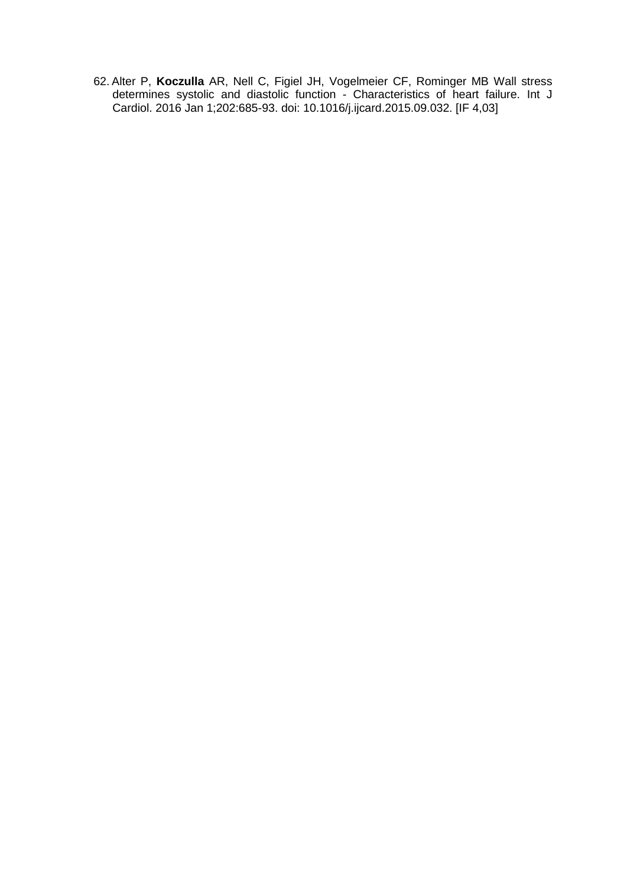62. Alter P, **Koczulla** AR, Nell C, Figiel JH, Vogelmeier CF, Rominger MB [Wall stress](http://www.ncbi.nlm.nih.gov/pubmed/26454537)  [determines systolic and diastolic function -](http://www.ncbi.nlm.nih.gov/pubmed/26454537) Characteristics of heart failure. Int J Cardiol. 2016 Jan 1;202:685-93. doi: 10.1016/j.ijcard.2015.09.032. [IF 4,03]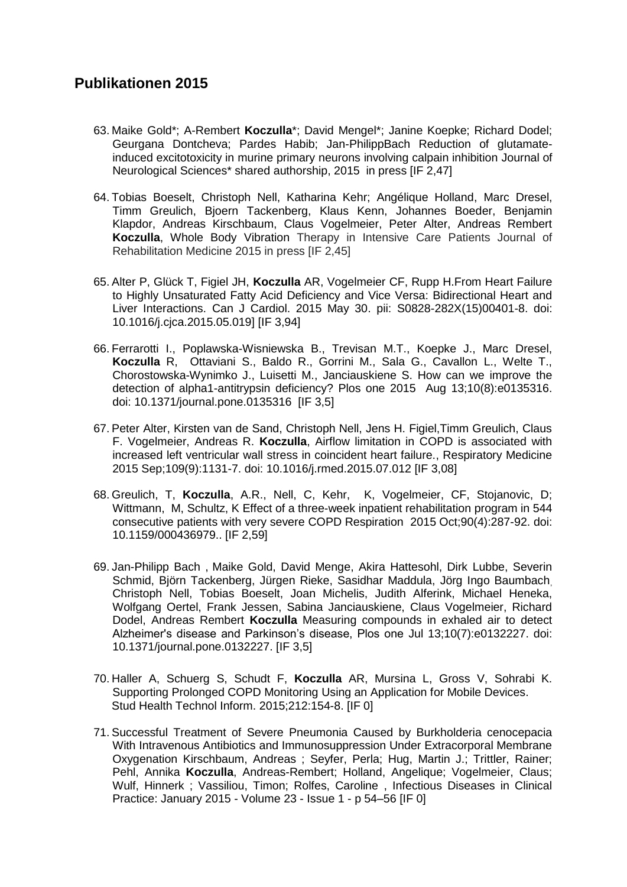- 63. Maike Gold\*; A-Rembert **Koczulla**\*; David Mengel\*; Janine Koepke; Richard Dodel; Geurgana Dontcheva; Pardes Habib; Jan-PhilippBach Reduction of glutamateinduced excitotoxicity in murine primary neurons involving calpain inhibition Journal of Neurological Sciences\* shared authorship, 2015 in press [IF 2,47]
- 64. Tobias Boeselt, Christoph Nell, Katharina Kehr; Angélique Holland, Marc Dresel, Timm Greulich, Bjoern Tackenberg, Klaus Kenn, Johannes Boeder, Benjamin Klapdor, Andreas Kirschbaum, Claus Vogelmeier, Peter Alter, Andreas Rembert **Koczulla**, Whole Body Vibration Therapy in Intensive Care Patients Journal of Rehabilitation Medicine 2015 in press [IF 2,45]
- 65. Alter P, Glück T, Figiel JH, **Koczulla** AR, Vogelmeier CF, Rupp H[.From Heart Failure](http://www.ncbi.nlm.nih.gov/pubmed/26277086)  [to Highly Unsaturated Fatty Acid Deficiency and Vice Versa: Bidirectional Heart and](http://www.ncbi.nlm.nih.gov/pubmed/26277086)  [Liver Interactions.](http://www.ncbi.nlm.nih.gov/pubmed/26277086) Can J Cardiol. 2015 May 30. pii: S0828-282X(15)00401-8. doi: 10.1016/j.cjca.2015.05.019] [IF 3,94]
- 66. Ferrarotti I., Poplawska-Wisniewska B., Trevisan M.T., Koepke J., Marc Dresel, **Koczulla** R, Ottaviani S., Baldo R., Gorrini M., Sala G., Cavallon L., Welte T., Chorostowska-Wynimko J., Luisetti M., Janciauskiene S. How can we improve the detection of alpha1-antitrypsin deficiency? Plos one 2015 Aug 13;10(8):e0135316. doi: 10.1371/journal.pone.0135316 [IF 3,5]
- 67. Peter Alter, Kirsten van de Sand, Christoph Nell, Jens H. Figiel,Timm Greulich, Claus F. Vogelmeier, Andreas R. **Koczulla**, [Airflow limitation in COPD is associated with](http://www.ncbi.nlm.nih.gov/pubmed/26231928)  [increased left ventricular wall stress in coincident heart failure.,](http://www.ncbi.nlm.nih.gov/pubmed/26231928) Respiratory Medicine 2015 Sep;109(9):1131-7. doi: 10.1016/j.rmed.2015.07.012 [IF 3,08]
- 68. Greulich, T, **Koczulla**, A.R., Nell, C, Kehr, K, Vogelmeier, CF, Stojanovic, D; Wittmann, M, Schultz, K Effect of a three-week inpatient rehabilitation program in 544 consecutive patients with very severe COPD Respiration 2015 Oct;90(4):287-92. doi: 10.1159/000436979.. [IF 2,59]
- 69. Jan-Philipp Bach , Maike Gold, David Menge, Akira Hattesohl, Dirk Lubbe, Severin Schmid, Björn Tackenberg, Jürgen Rieke, Sasidhar Maddula, Jörg Ingo Baumbach, Christoph Nell, Tobias Boeselt, Joan Michelis, Judith Alferink, Michael Heneka, Wolfgang Oertel, Frank Jessen, Sabina Janciauskiene, Claus Vogelmeier, Richard Dodel, Andreas Rembert **Koczulla** Measuring compounds in exhaled air to detect Alzheimer's disease and Parkinson's disease, Plos one Jul 13;10(7):e0132227. doi: 10.1371/journal.pone.0132227. [IF 3,5]
- 70. Haller A, Schuerg S, Schudt F, **Koczulla** AR, Mursina L, Gross V, Sohrabi K. [Supporting Prolonged COPD Monitoring Using an Application for Mobile Devices.](http://www.ncbi.nlm.nih.gov/pubmed/26063271) Stud Health Technol Inform. 2015;212:154-8. [IF 0]
- 71. Successful Treatment of Severe Pneumonia Caused by Burkholderia cenocepacia With Intravenous Antibiotics and Immunosuppression Under Extracorporal Membrane Oxygenation Kirschbaum, Andreas ; Seyfer, Perla; Hug, Martin J.; Trittler, Rainer; Pehl, Annika **Koczulla**, Andreas-Rembert; Holland, Angelique; Vogelmeier, Claus; Wulf, Hinnerk ; Vassiliou, Timon; Rolfes, Caroline , Infectious Diseases in Clinical Practice: January 2015 - Volume 23 - Issue 1 - p 54–56 [IF 0]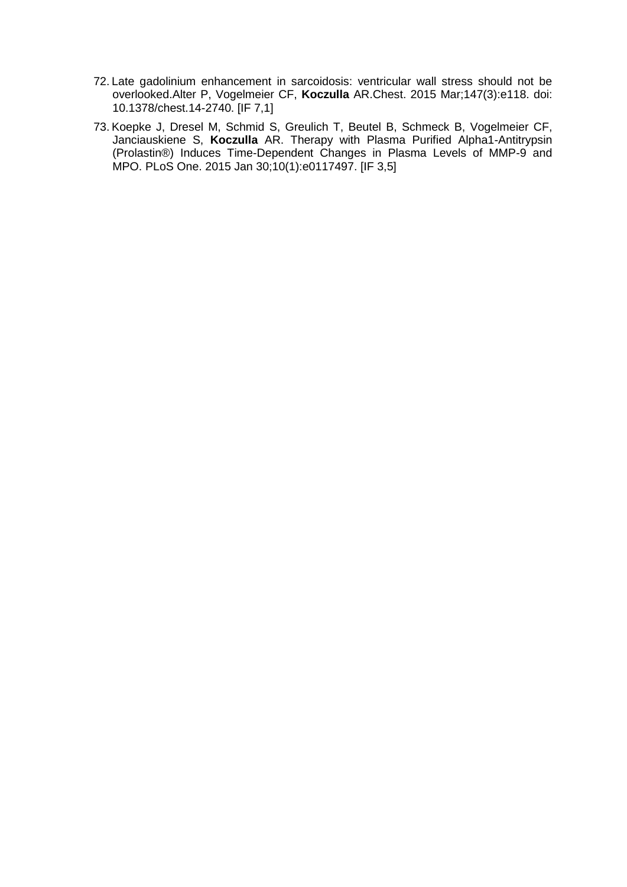- 72. Late gadolinium enhancement in sarcoidosis: ventricular wall stress should not be overlooked.Alter P, Vogelmeier CF, **Koczulla** AR.Chest. 2015 Mar;147(3):e118. doi: 10.1378/chest.14-2740. [IF 7,1]
- 73. Koepke J, Dresel M, Schmid S, Greulich T, Beutel B, Schmeck B, Vogelmeier CF, Janciauskiene S, **Koczulla** AR. Therapy with Plasma Purified Alpha1-Antitrypsin (Prolastin®) Induces Time-Dependent Changes in Plasma Levels of MMP-9 and MPO. PLoS One. 2015 Jan 30;10(1):e0117497. [IF 3,5]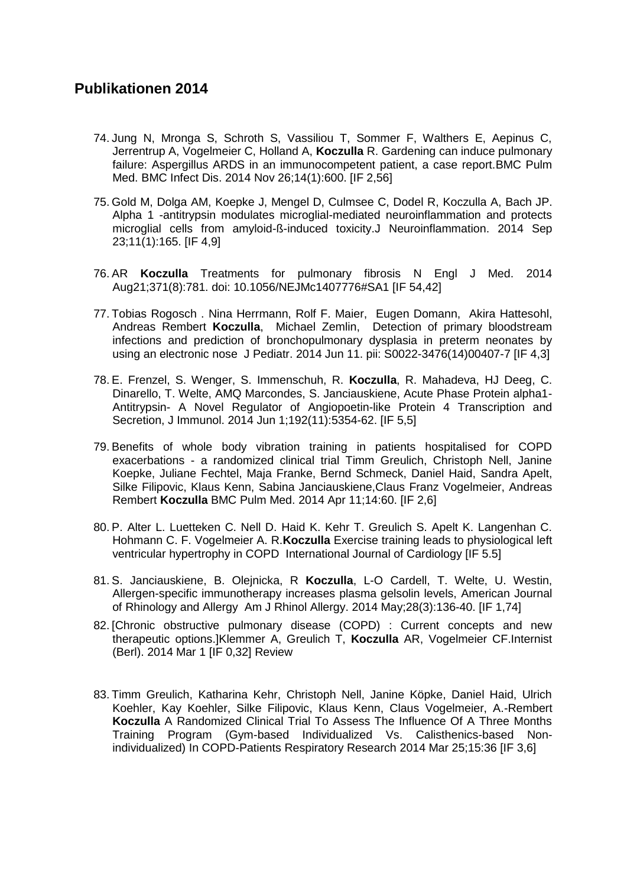- 74. Jung N, Mronga S, Schroth S, Vassiliou T, Sommer F, Walthers E, Aepinus C, Jerrentrup A, Vogelmeier C, Holland A, **Koczulla** R. Gardening can induce pulmonary failure: Aspergillus ARDS in an immunocompetent patient, a case report.BMC Pulm Med. BMC Infect Dis. 2014 Nov 26;14(1):600. [IF 2,56]
- 75. Gold M, Dolga AM, Koepke J, Mengel D, Culmsee C, Dodel R, Koczulla A, Bach JP. Alpha 1 -antitrypsin modulates microglial-mediated neuroinflammation and protects microglial cells from amyloid-ß-induced toxicity.J Neuroinflammation. 2014 Sep 23;11(1):165. [IF 4,9]
- 76. AR **Koczulla** Treatments for pulmonary fibrosis N Engl J Med. 2014 Aug21;371(8):781. doi: 10.1056/NEJMc1407776#SA1 [IF 54,42]
- 77. Tobias Rogosch . Nina Herrmann, Rolf F. Maier, Eugen Domann, Akira Hattesohl, Andreas Rembert **Koczulla**, Michael Zemlin, Detection of primary bloodstream infections and prediction of bronchopulmonary dysplasia in preterm neonates by using an electronic nose J Pediatr. 2014 Jun 11. pii: S0022-3476(14)00407-7 [IF 4,3]
- 78. E. Frenzel, S. Wenger, S. Immenschuh, R. **Koczulla**, R. Mahadeva, HJ Deeg, C. Dinarello, T. Welte, AMQ Marcondes, S. Janciauskiene, Acute Phase Protein alpha1- Antitrypsin- A Novel Regulator of Angiopoetin-like Protein 4 Transcription and Secretion, J Immunol. 2014 Jun 1;192(11):5354-62. [IF 5,5]
- 79. Benefits of whole body vibration training in patients hospitalised for COPD exacerbations - a randomized clinical trial Timm Greulich, Christoph Nell, Janine Koepke, Juliane Fechtel, Maja Franke, Bernd Schmeck, Daniel Haid, Sandra Apelt, Silke Filipovic, Klaus Kenn, Sabina Janciauskiene,Claus Franz Vogelmeier, Andreas Rembert **Koczulla** BMC Pulm Med. 2014 Apr 11;14:60. [IF 2,6]
- 80. P. Alter L. Luetteken C. Nell D. Haid K. Kehr T. Greulich S. Apelt K. Langenhan C. Hohmann C. F. Vogelmeier A. R.**Koczulla** Exercise training leads to physiological left ventricular hypertrophy in COPD International Journal of Cardiology [IF 5.5]
- 81. S. Janciauskiene, B. Olejnicka, R **Koczulla**, L-O Cardell, T. Welte, U. Westin, Allergen-specific immunotherapy increases plasma gelsolin levels, American Journal of Rhinology and Allergy Am J Rhinol Allergy. 2014 May;28(3):136-40. [IF 1,74]
- 82. [Chronic obstructive pulmonary disease (COPD) : Current concepts and new therapeutic options.]Klemmer A, Greulich T, **Koczulla** AR, Vogelmeier CF.Internist (Berl). 2014 Mar 1 [IF 0,32] Review
- 83. Timm Greulich, Katharina Kehr, Christoph Nell, Janine Köpke, Daniel Haid, Ulrich Koehler, Kay Koehler, Silke Filipovic, Klaus Kenn, Claus Vogelmeier, A.-Rembert **Koczulla** A Randomized Clinical Trial To Assess The Influence Of A Three Months Training Program (Gym-based Individualized Vs. Calisthenics-based Nonindividualized) In COPD-Patients Respiratory Research 2014 Mar 25;15:36 [IF 3,6]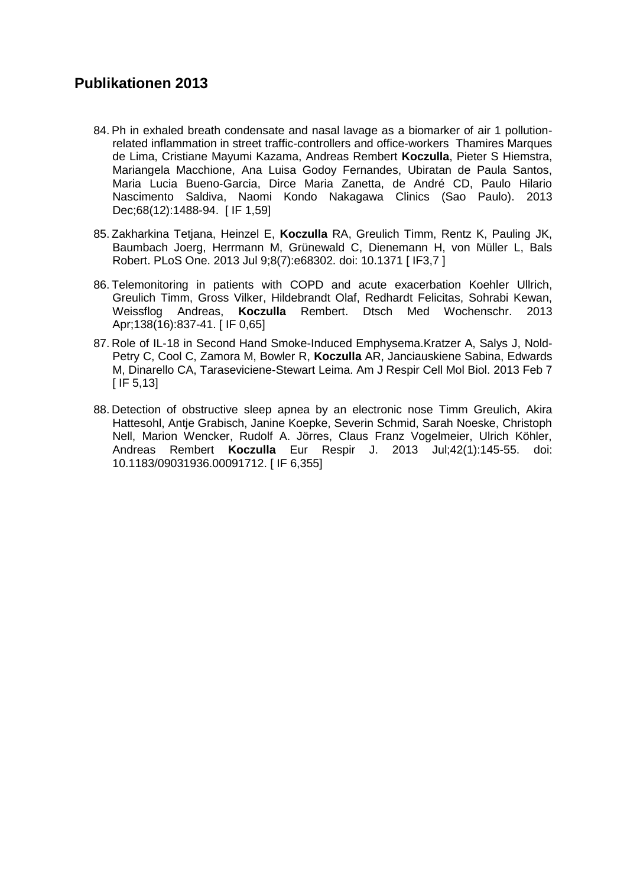- 84. Ph in exhaled breath condensate and nasal lavage as a biomarker of air 1 pollutionrelated inflammation in street traffic-controllers and office-workers Thamires Marques de Lima, Cristiane Mayumi Kazama, Andreas Rembert **Koczulla**, Pieter S Hiemstra, Mariangela Macchione, Ana Luisa Godoy Fernandes, Ubiratan de Paula Santos, Maria Lucia Bueno-Garcia, Dirce Maria Zanetta, de André CD, Paulo Hilario Nascimento Saldiva, Naomi Kondo Nakagawa Clinics (Sao Paulo). 2013 Dec;68(12):1488-94. [ IF 1,59]
- 85. Zakharkina Tetjana, Heinzel E, **Koczulla** RA, Greulich Timm, Rentz K, Pauling JK, Baumbach Joerg, Herrmann M, Grünewald C, Dienemann H, von Müller L, Bals Robert. PLoS One. 2013 Jul 9;8(7):e68302. doi: 10.1371 [ IF3,7 ]
- 86. Telemonitoring in patients with COPD and acute exacerbation Koehler Ullrich, Greulich Timm, Gross Vilker, Hildebrandt Olaf, Redhardt Felicitas, Sohrabi Kewan, Weissflog Andreas, **Koczulla** Rembert. Dtsch Med Wochenschr. 2013 Apr;138(16):837-41. [ IF 0,65]
- 87. Role of IL-18 in Second Hand Smoke-Induced Emphysema.Kratzer A, Salys J, Nold-Petry C, Cool C, Zamora M, Bowler R, **Koczulla** AR, Janciauskiene Sabina, Edwards M, Dinarello CA, Taraseviciene-Stewart Leima. Am J Respir Cell Mol Biol. 2013 Feb 7 [ IF 5,13]
- 88. Detection of obstructive sleep apnea by an electronic nose Timm Greulich, Akira Hattesohl, Antje Grabisch, Janine Koepke, Severin Schmid, Sarah Noeske, Christoph Nell, Marion Wencker, Rudolf A. Jörres, Claus Franz Vogelmeier, Ulrich Köhler, Andreas Rembert **Koczulla** Eur Respir J. 2013 Jul;42(1):145-55. doi: 10.1183/09031936.00091712. [ IF 6,355]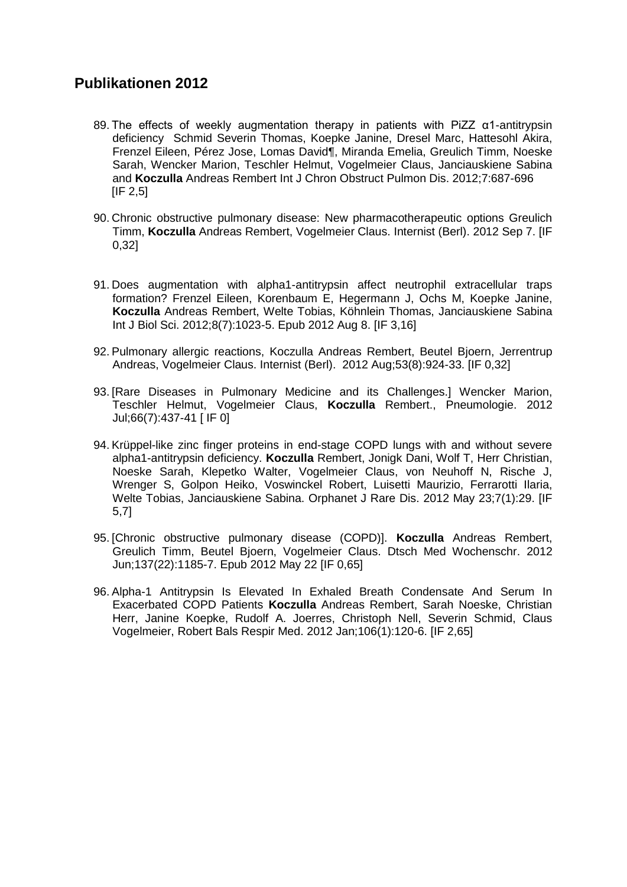- 89. The effects of weekly augmentation therapy in patients with PiZZ α1-antitrypsin deficiency Schmid Severin Thomas, Koepke Janine, Dresel Marc, Hattesohl Akira, Frenzel Eileen, Pérez Jose, Lomas David¶, Miranda Emelia, Greulich Timm, Noeske Sarah, Wencker Marion, Teschler Helmut, Vogelmeier Claus, Janciauskiene Sabina and **Koczulla** Andreas Rembert Int J Chron Obstruct Pulmon Dis. 2012;7:687-696  $IIF$  2.5]
- 90. Chronic obstructive pulmonary disease: New pharmacotherapeutic options Greulich Timm, **Koczulla** Andreas Rembert, Vogelmeier Claus. Internist (Berl). 2012 Sep 7. [IF 0,32]
- 91. Does augmentation with alpha1-antitrypsin affect neutrophil extracellular traps formation? Frenzel Eileen, Korenbaum E, Hegermann J, Ochs M, Koepke Janine, **Koczulla** Andreas Rembert, Welte Tobias, Köhnlein Thomas, Janciauskiene Sabina Int J Biol Sci. 2012;8(7):1023-5. Epub 2012 Aug 8. [IF 3,16]
- 92. Pulmonary allergic reactions, Koczulla Andreas Rembert, Beutel Bjoern, Jerrentrup Andreas, Vogelmeier Claus. Internist (Berl). 2012 Aug;53(8):924-33. [IF 0,32]
- 93. [Rare Diseases in Pulmonary Medicine and its Challenges.] Wencker Marion, Teschler Helmut, Vogelmeier Claus, **Koczulla** Rembert., Pneumologie. 2012 Jul;66(7):437-41 [ IF 0]
- 94. Krüppel-like zinc finger proteins in end-stage COPD lungs with and without severe alpha1-antitrypsin deficiency. **Koczulla** Rembert, Jonigk Dani, Wolf T, Herr Christian, Noeske Sarah, Klepetko Walter, Vogelmeier Claus, von Neuhoff N, Rische J, Wrenger S, Golpon Heiko, Voswinckel Robert, Luisetti Maurizio, Ferrarotti Ilaria, Welte Tobias, Janciauskiene Sabina. Orphanet J Rare Dis. 2012 May 23;7(1):29. [IF 5,7]
- 95. [Chronic obstructive pulmonary disease (COPD)]. **Koczulla** Andreas Rembert, Greulich Timm, Beutel Bjoern, Vogelmeier Claus. Dtsch Med Wochenschr. 2012 Jun;137(22):1185-7. Epub 2012 May 22 [IF 0,65]
- 96. Alpha-1 Antitrypsin Is Elevated In Exhaled Breath Condensate And Serum In Exacerbated COPD Patients **Koczulla** Andreas Rembert, Sarah Noeske, Christian Herr, Janine Koepke, Rudolf A. Joerres, Christoph Nell, Severin Schmid, Claus Vogelmeier, Robert Bals Respir Med. 2012 Jan;106(1):120-6. [IF 2,65]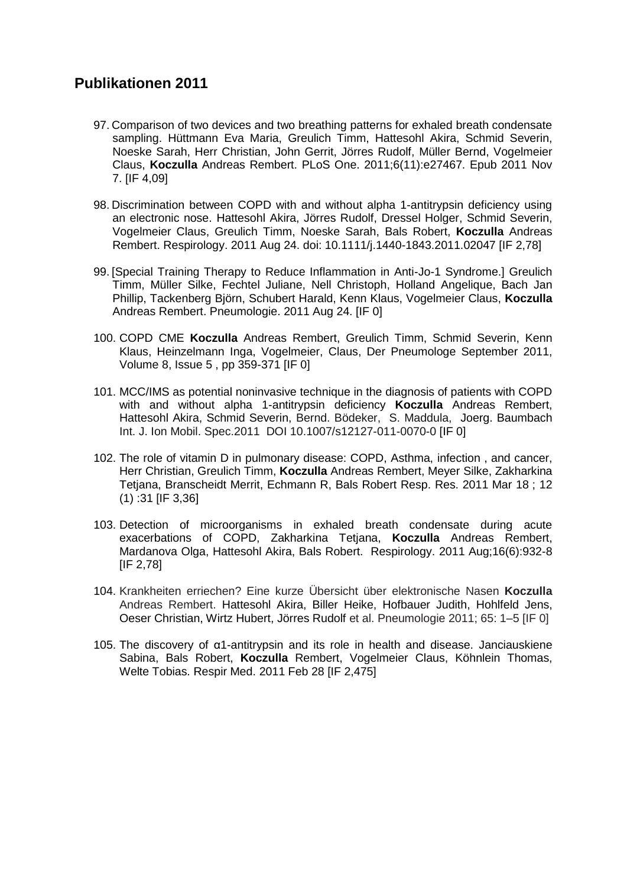- 97. Comparison of two devices and two breathing patterns for exhaled breath condensate sampling. Hüttmann Eva Maria, Greulich Timm, Hattesohl Akira, Schmid Severin, Noeske Sarah, Herr Christian, John Gerrit, Jörres Rudolf, Müller Bernd, Vogelmeier Claus, **Koczulla** Andreas Rembert. PLoS One. 2011;6(11):e27467. Epub 2011 Nov 7. [IF 4,09]
- 98. Discrimination between COPD with and without alpha 1-antitrypsin deficiency using an electronic nose. Hattesohl Akira, Jörres Rudolf, Dressel Holger, Schmid Severin, Vogelmeier Claus, Greulich Timm, Noeske Sarah, Bals Robert, **Koczulla** Andreas Rembert. Respirology. 2011 Aug 24. doi: 10.1111/j.1440-1843.2011.02047 [IF 2,78]
- 99. [Special Training Therapy to Reduce Inflammation in Anti-Jo-1 Syndrome.] Greulich Timm, Müller Silke, Fechtel Juliane, Nell Christoph, Holland Angelique, Bach Jan Phillip, Tackenberg Björn, Schubert Harald, Kenn Klaus, Vogelmeier Claus, **Koczulla** Andreas Rembert. Pneumologie. 2011 Aug 24. [IF 0]
- 100. COPD CME **Koczulla** Andreas Rembert, Greulich Timm, Schmid Severin, Kenn Klaus, Heinzelmann Inga, Vogelmeier, Claus, Der Pneumologe September 2011, Volume 8, Issue 5 , pp 359-371 [IF 0]
- 101. MCC/IMS as potential noninvasive technique in the diagnosis of patients with COPD with and without alpha 1-antitrypsin deficiency **Koczulla** Andreas Rembert, Hattesohl Akira, Schmid Severin, Bernd. Bödeker, S. Maddula, Joerg. Baumbach Int. J. Ion Mobil. Spec.2011 DOI 10.1007/s12127-011-0070-0 [IF 0]
- 102. The role of vitamin D in pulmonary disease: COPD, Asthma, infection , and cancer, Herr Christian, Greulich Timm, **Koczulla** Andreas Rembert, Meyer Silke, Zakharkina Tetjana, Branscheidt Merrit, Echmann R, Bals Robert Resp. Res. 2011 Mar 18 ; 12 (1) :31 [IF 3,36]
- 103. Detection of microorganisms in exhaled breath condensate during acute exacerbations of COPD, Zakharkina Tetjana, **Koczulla** Andreas Rembert, Mardanova Olga, Hattesohl Akira, Bals Robert. Respirology. 2011 Aug;16(6):932-8 [IF 2,78]
- 104. Krankheiten erriechen? Eine kurze Übersicht über elektronische Nasen **Koczulla** Andreas Rembert. Hattesohl Akira, Biller Heike, Hofbauer Judith, Hohlfeld Jens, Oeser Christian, Wirtz Hubert, Jörres Rudolf et al. Pneumologie 2011; 65: 1–5 [IF 0]
- 105. The discovery of α1-antitrypsin and its role in health and disease. Janciauskiene Sabina, Bals Robert, **Koczulla** Rembert, Vogelmeier Claus, Köhnlein Thomas, Welte Tobias. Respir Med. 2011 Feb 28 [IF 2,475]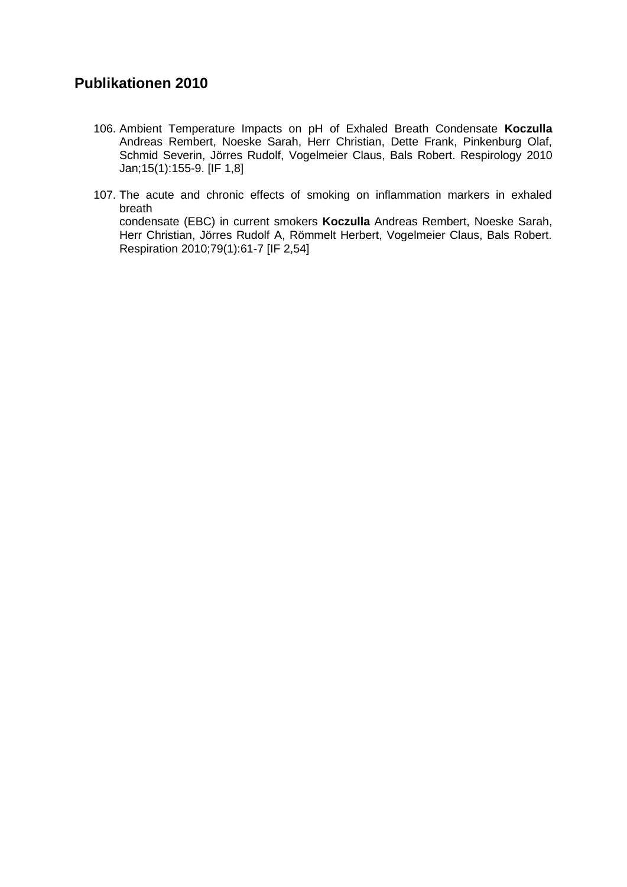- 106. Ambient Temperature Impacts on pH of Exhaled Breath Condensate **Koczulla** Andreas Rembert, Noeske Sarah, Herr Christian, Dette Frank, Pinkenburg Olaf, Schmid Severin, Jörres Rudolf, Vogelmeier Claus, Bals Robert. Respirology 2010 Jan;15(1):155-9. [IF 1,8]
- 107. The acute and chronic effects of smoking on inflammation markers in exhaled breath condensate (EBC) in current smokers **Koczulla** Andreas Rembert, Noeske Sarah, Herr Christian, Jörres Rudolf A, Römmelt Herbert, Vogelmeier Claus, Bals Robert. Respiration 2010;79(1):61-7 [IF 2,54]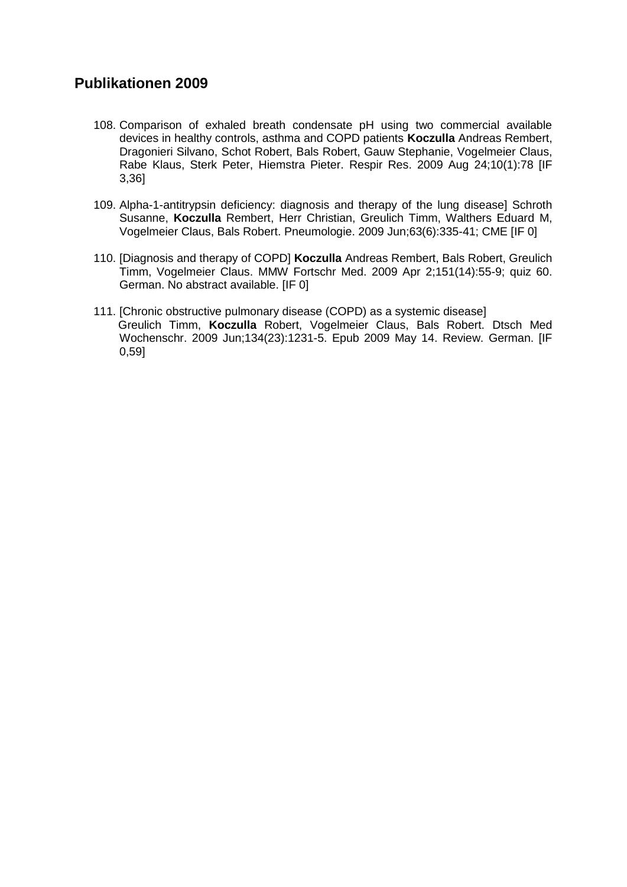- 108. Comparison of exhaled breath condensate pH using two commercial available devices in healthy controls, asthma and COPD patients **Koczulla** Andreas Rembert, Dragonieri Silvano, Schot Robert, Bals Robert, Gauw Stephanie, Vogelmeier Claus, Rabe Klaus, Sterk Peter, Hiemstra Pieter. Respir Res. 2009 Aug 24;10(1):78 [IF 3,36]
- 109. Alpha-1-antitrypsin deficiency: diagnosis and therapy of the lung disease] Schroth Susanne, **Koczulla** Rembert, Herr Christian, Greulich Timm, Walthers Eduard M, Vogelmeier Claus, Bals Robert. Pneumologie. 2009 Jun;63(6):335-41; CME [IF 0]
- 110. [Diagnosis and therapy of COPD] **Koczulla** Andreas Rembert, Bals Robert, Greulich Timm, Vogelmeier Claus. MMW Fortschr Med. 2009 Apr 2;151(14):55-9; quiz 60. German. No abstract available. [IF 0]
- 111. [Chronic obstructive pulmonary disease (COPD) as a systemic disease] Greulich Timm, **Koczulla** Robert, Vogelmeier Claus, Bals Robert. Dtsch Med Wochenschr. 2009 Jun;134(23):1231-5. Epub 2009 May 14. Review. German. [IF 0,59]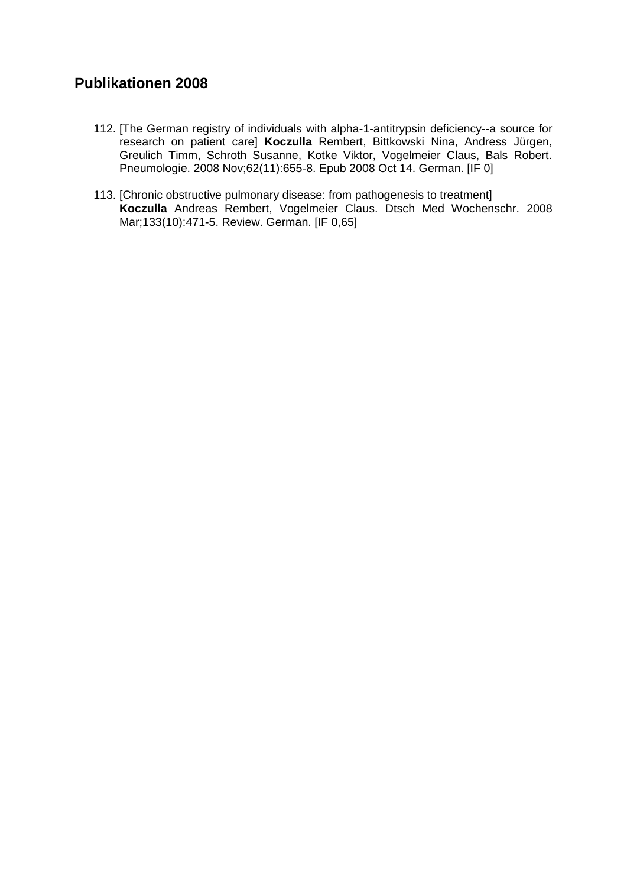- 112. [The German registry of individuals with alpha-1-antitrypsin deficiency--a source for research on patient care] **Koczulla** Rembert, Bittkowski Nina, Andress Jürgen, Greulich Timm, Schroth Susanne, Kotke Viktor, Vogelmeier Claus, Bals Robert. Pneumologie. 2008 Nov;62(11):655-8. Epub 2008 Oct 14. German. [IF 0]
- 113. [Chronic obstructive pulmonary disease: from pathogenesis to treatment] **Koczulla** Andreas Rembert, Vogelmeier Claus. Dtsch Med Wochenschr. 2008 Mar;133(10):471-5. Review. German. [IF 0,65]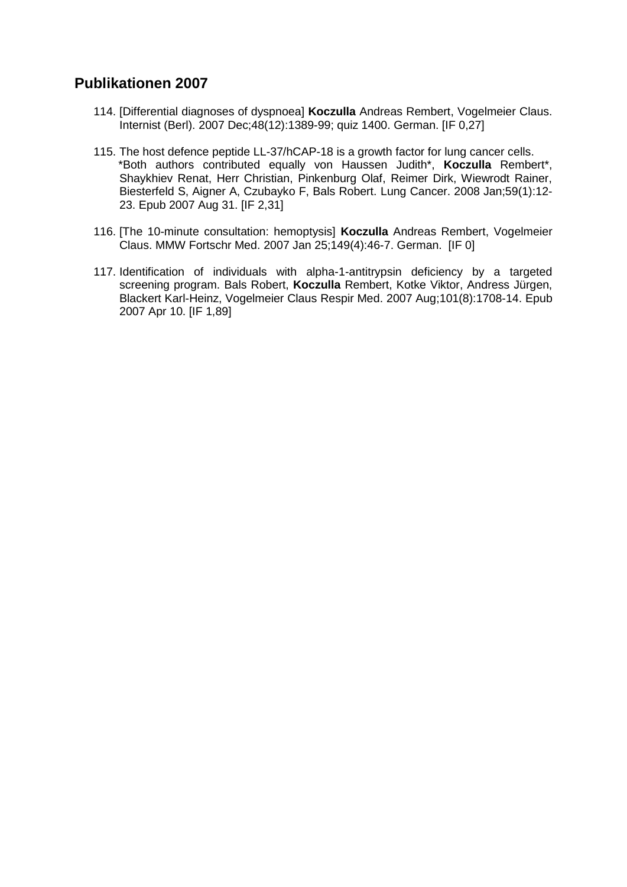- 114. [Differential diagnoses of dyspnoea] **Koczulla** Andreas Rembert, Vogelmeier Claus. Internist (Berl). 2007 Dec;48(12):1389-99; quiz 1400. German. [IF 0,27]
- 115. The host defence peptide LL-37/hCAP-18 is a growth factor for lung cancer cells. \*Both authors contributed equally von Haussen Judith\*, **Koczulla** Rembert\*, Shaykhiev Renat, Herr Christian, Pinkenburg Olaf, Reimer Dirk, Wiewrodt Rainer, Biesterfeld S, Aigner A, Czubayko F, Bals Robert. Lung Cancer. 2008 Jan;59(1):12- 23. Epub 2007 Aug 31. [IF 2,31]
- 116. [The 10-minute consultation: hemoptysis] **Koczulla** Andreas Rembert, Vogelmeier Claus. MMW Fortschr Med. 2007 Jan 25;149(4):46-7. German. [IF 0]
- 117. Identification of individuals with alpha-1-antitrypsin deficiency by a targeted screening program. Bals Robert, **Koczulla** Rembert, Kotke Viktor, Andress Jürgen, Blackert Karl-Heinz, Vogelmeier Claus Respir Med. 2007 Aug;101(8):1708-14. Epub 2007 Apr 10. [IF 1,89]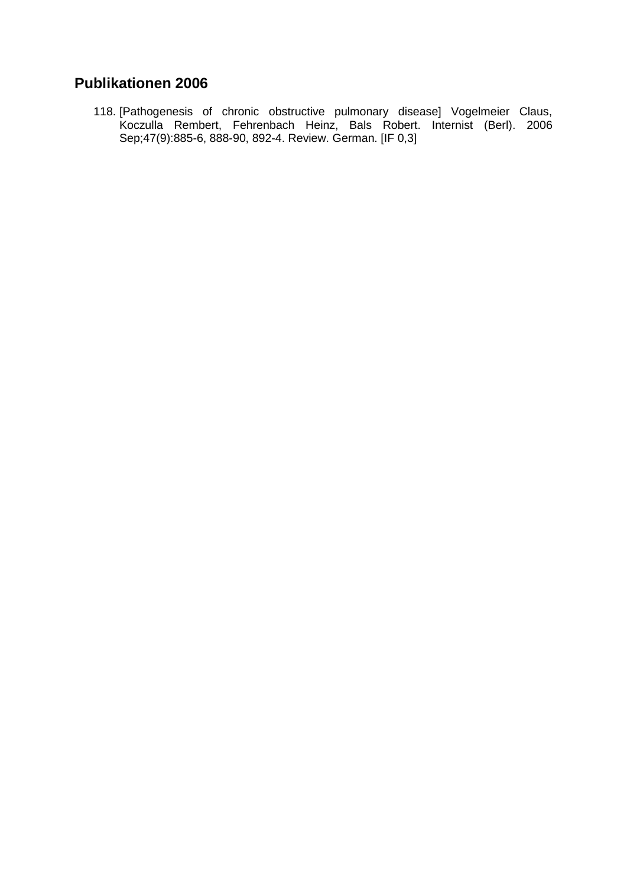118. [Pathogenesis of chronic obstructive pulmonary disease] Vogelmeier Claus, Koczulla Rembert, Fehrenbach Heinz, Bals Robert. Internist (Berl). 2006 Sep;47(9):885-6, 888-90, 892-4. Review. German. [IF 0,3]